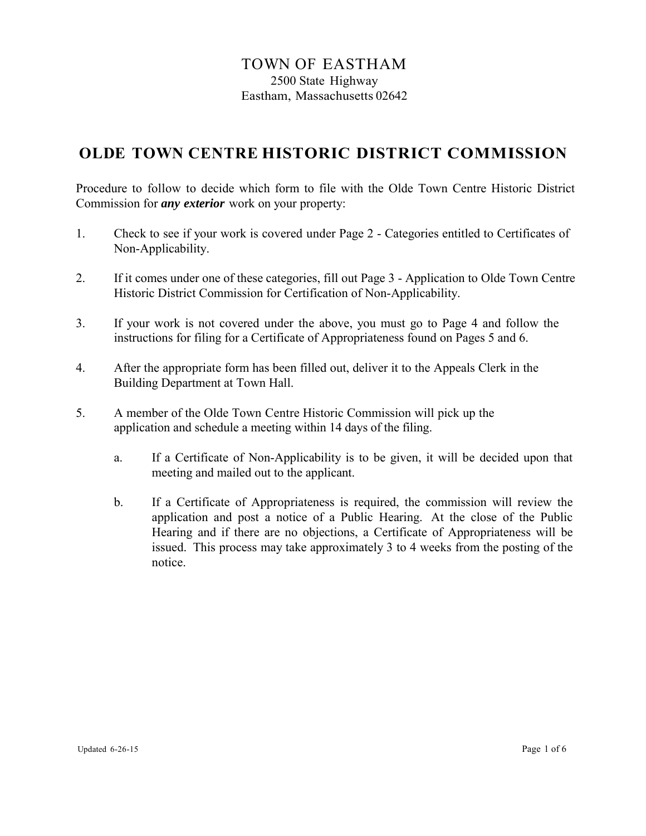# **OLDE TOWN CENTRE HISTORIC DISTRICT COMMISSION**

Procedure to follow to decide which form to file with the Olde Town Centre Historic District Commission for *any exterior* work on your property:

- 1. Check to see if your work is covered under Page 2 Categories entitled to Certificates of Non-Applicability.
- 2. If it comes under one of these categories, fill out Page 3 Application to Olde Town Centre Historic District Commission for Certification of Non-Applicability.
- 3. If your work is not covered under the above, you must go to Page 4 and follow the instructions for filing for a Certificate of Appropriateness found on Pages 5 and 6.
- 4. After the appropriate form has been filled out, deliver it to the Appeals Clerk in the Building Department at Town Hall.
- 5. A member of the Olde Town Centre Historic Commission will pick up the application and schedule a meeting within 14 days of the filing.
	- a. If a Certificate of Non-Applicability is to be given, it will be decided upon that meeting and mailed out to the applicant.
	- b. If a Certificate of Appropriateness is required, the commission will review the application and post a notice of a Public Hearing. At the close of the Public Hearing and if there are no objections, a Certificate of Appropriateness will be issued. This process may take approximately 3 to 4 weeks from the posting of the notice.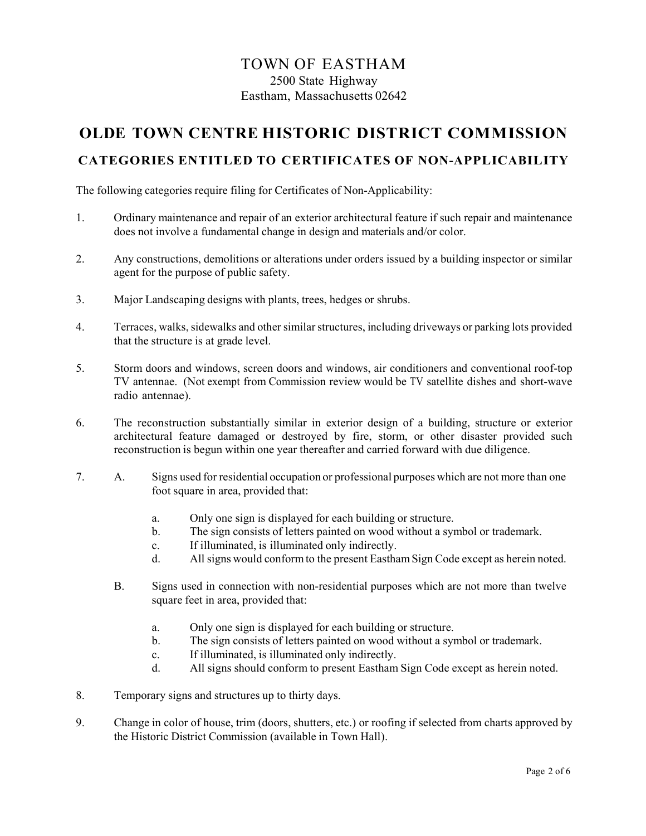# **OLDE TOWN CENTRE HISTORIC DISTRICT COMMISSION**

#### **CATEGORIES ENTITLED TO CERTIFICATES OF NON-APPLICABILITY**

The following categories require filing for Certificates of Non-Applicability:

- 1. Ordinary maintenance and repair of an exterior architectural feature if such repair and maintenance does not involve a fundamental change in design and materials and/or color.
- 2. Any constructions, demolitions or alterations under orders issued by a building inspector or similar agent for the purpose of public safety.
- 3. Major Landscaping designs with plants, trees, hedges or shrubs.
- 4. Terraces, walks, sidewalks and other similarstructures, including driveways or parking lots provided that the structure is at grade level.
- 5. Storm doors and windows, screen doors and windows, air conditioners and conventional roof-top TV antennae. (Not exempt from Commission review would be TV satellite dishes and short-wave radio antennae).
- 6. The reconstruction substantially similar in exterior design of a building, structure or exterior architectural feature damaged or destroyed by fire, storm, or other disaster provided such reconstruction is begun within one year thereafter and carried forward with due diligence.
- 7. A. Signs used for residential occupation or professional purposes which are not more than one foot square in area, provided that:
	- a. Only one sign is displayed for each building or structure.
	- b. The sign consists of letters painted on wood without a symbol or trademark.
	- c. If illuminated, is illuminated only indirectly.
	- d. All signs would conform to the present Eastham Sign Code except as herein noted.
	- B. Signs used in connection with non-residential purposes which are not more than twelve square feet in area, provided that:
		- a. Only one sign is displayed for each building or structure.
		- b. The sign consists of letters painted on wood without a symbol or trademark.
		- c. If illuminated, is illuminated only indirectly.
		- d. All signs should conform to present Eastham Sign Code except as herein noted.
- 8. Temporary signs and structures up to thirty days.
- 9. Change in color of house, trim (doors, shutters, etc.) or roofing if selected from charts approved by the Historic District Commission (available in Town Hall).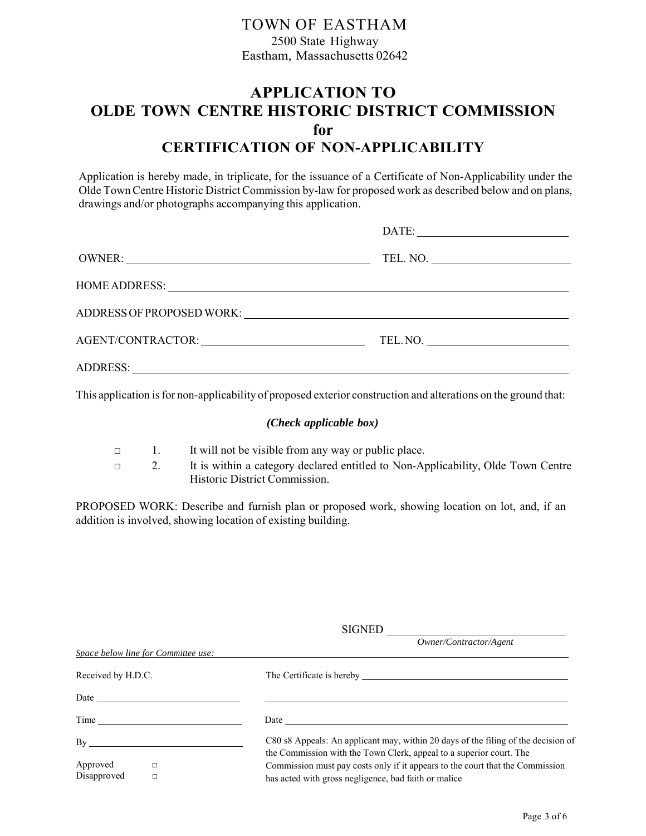## **APPLICATION TO OLDE TOWN CENTRE HISTORIC DISTRICT COMMISSION for CERTIFICATION OF NON-APPLICABILITY**

Application is hereby made, in triplicate, for the issuance of a Certificate of Non-Applicability under the Olde Town Centre Historic District Commission by-law for proposed work as described below and on plans, drawings and/or photographs accompanying this application.

|                                                                                                                                                                                                                                | $\text{DATE:}$ |
|--------------------------------------------------------------------------------------------------------------------------------------------------------------------------------------------------------------------------------|----------------|
|                                                                                                                                                                                                                                |                |
|                                                                                                                                                                                                                                |                |
| ADDRESS OF PROPOSED WORK: North Andrew Management Control of the Control of the Control of the Control of the Control of the Control of the Control of the Control of the Control of the Control of the Control of the Control |                |
|                                                                                                                                                                                                                                | TEL. NO.       |
|                                                                                                                                                                                                                                |                |

This application is for non-applicability of proposed exterior construction and alterations on the ground that:

#### *(Check applicable box)*

- □ 1. It will not be visible from any way or public place.
- □ 2. It is within a category declared entitled to Non-Applicability, Olde Town Centre Historic District Commission.

PROPOSED WORK: Describe and furnish plan or proposed work, showing location on lot, and, if an addition is involved, showing location of existing building.

|                         |                                                                                                                                                                                                                               | SIGNED                                                                                                                                                   |  |  |
|-------------------------|-------------------------------------------------------------------------------------------------------------------------------------------------------------------------------------------------------------------------------|----------------------------------------------------------------------------------------------------------------------------------------------------------|--|--|
|                         | Space below line for Committee use:                                                                                                                                                                                           | Owner/Contractor/Agent                                                                                                                                   |  |  |
| Received by H.D.C.      |                                                                                                                                                                                                                               | The Certificate is hereby The Certificate is hereby                                                                                                      |  |  |
|                         | Date has been assessed by the contract of the contract of the contract of the contract of the contract of the contract of the contract of the contract of the contract of the contract of the contract of the contract of the |                                                                                                                                                          |  |  |
|                         |                                                                                                                                                                                                                               | Date                                                                                                                                                     |  |  |
| $\mathbf{B}\mathbf{v}$  |                                                                                                                                                                                                                               | C80 s8 Appeals: An applicant may, within 20 days of the filing of the decision of<br>the Commission with the Town Clerk, appeal to a superior court. The |  |  |
| Approved<br>Disapproved | $\Box$                                                                                                                                                                                                                        | Commission must pay costs only if it appears to the court that the Commission<br>has acted with gross negligence, bad faith or malice                    |  |  |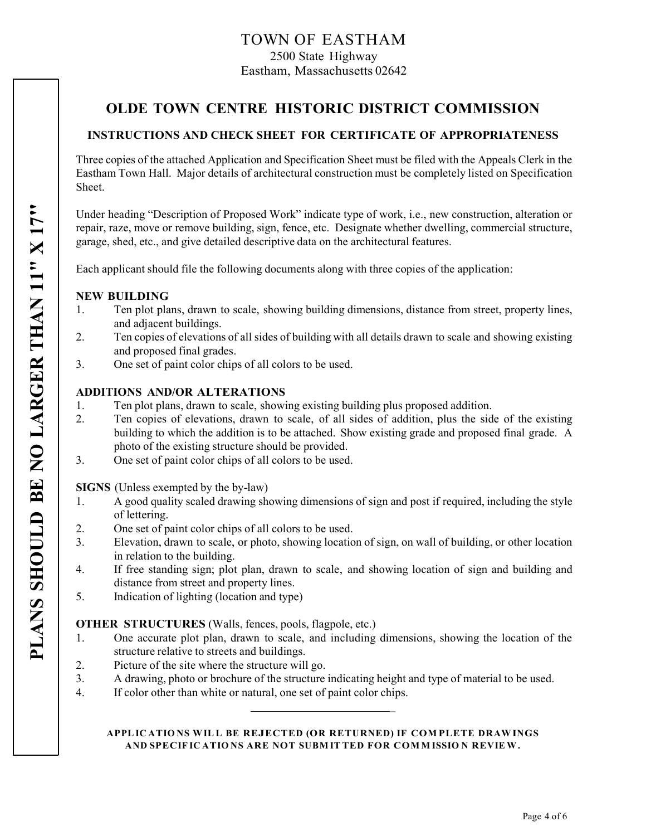## **OLDE TOWN CENTRE HISTORIC DISTRICT COMMISSION**

### **INSTRUCTIONS AND CHECK SHEET FOR CERTIFICATE OF APPROPRIATENESS**

Three copies of the attached Application and Specification Sheet must be filed with the Appeals Clerk in the Eastham Town Hall. Major details of architectural construction must be completely listed on Specification Sheet.

Under heading "Description of Proposed Work" indicate type of work, i.e., new construction, alteration or repair, raze, move or remove building, sign, fence, etc. Designate whether dwelling, commercial structure, garage, shed, etc., and give detailed descriptive data on the architectural features.

Each applicant should file the following documents along with three copies of the application:

#### **NEW BUILDING**

- 1. Ten plot plans, drawn to scale, showing building dimensions, distance from street, property lines, and adjacent buildings.
- 2. Ten copies of elevations of all sides of building with all details drawn to scale and showing existing and proposed final grades.
- 3. One set of paint color chips of all colors to be used.

#### **ADDITIONS AND/OR ALTERATIONS**

- 1. Ten plot plans, drawn to scale, showing existing building plus proposed addition.
- 2. Ten copies of elevations, drawn to scale, of all sides of addition, plus the side of the existing building to which the addition is to be attached. Show existing grade and proposed final grade. A photo of the existing structure should be provided.
- 3. One set of paint color chips of all colors to be used.

**SIGNS** (Unless exempted by the by-law)

- 1. A good quality scaled drawing showing dimensions of sign and post if required, including the style of lettering.
- 2. One set of paint color chips of all colors to be used.
- 3. Elevation, drawn to scale, or photo, showing location of sign, on wall of building, or other location in relation to the building.
- 4. If free standing sign; plot plan, drawn to scale, and showing location of sign and building and distance from street and property lines.
- 5. Indication of lighting (location and type)

#### **OTHER STRUCTURES** (Walls, fences, pools, flagpole, etc.)

- 1. One accurate plot plan, drawn to scale, and including dimensions, showing the location of the structure relative to streets and buildings.
- 2. Picture of the site where the structure will go.
- 3. A drawing, photo or brochure of the structure indicating height and type of material to be used.
- 4. If color other than white or natural, one set of paint color chips.

#### APPL IC ATIONS WILL BE REJECTED (OR RETURNED) IF COMPLETE DRAWINGS AND SPECIF IC ATIONS ARE NOT SUBMITTED FOR COMMISSION REVIEW.

 $\mathbb{R}^2$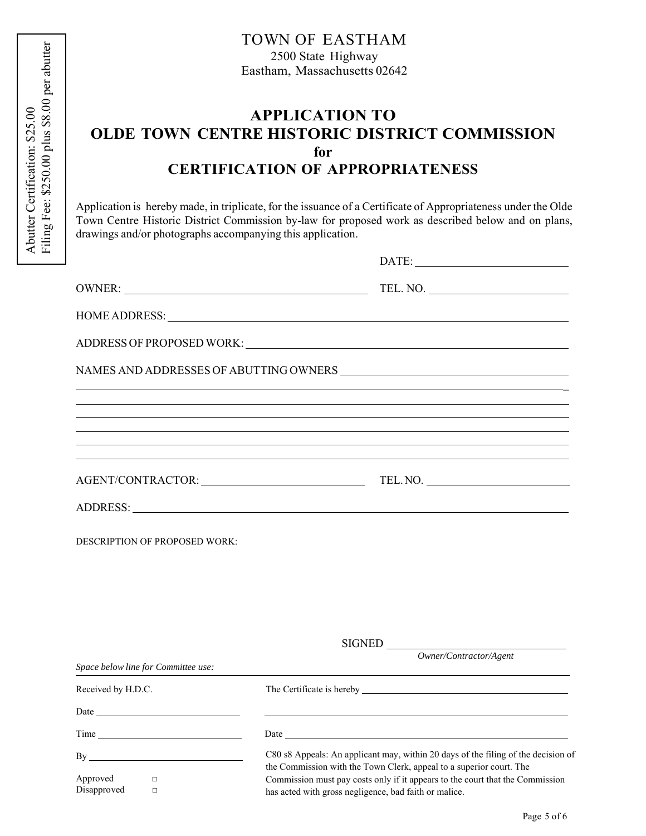# **APPLICATION TO OLDE TOWN CENTRE HISTORIC DISTRICT COMMISSION for CERTIFICATION OF APPROPRIATENESS**

Application is hereby made, in triplicate, for the issuance of a Certificate of Appropriateness under the Olde Town Centre Historic District Commission by-law for proposed work as described below and on plans, drawings and/or photographs accompanying this application.

|                                             | TEL. NO.                                                                                                                                                 |  |  |
|---------------------------------------------|----------------------------------------------------------------------------------------------------------------------------------------------------------|--|--|
|                                             |                                                                                                                                                          |  |  |
|                                             |                                                                                                                                                          |  |  |
|                                             |                                                                                                                                                          |  |  |
|                                             |                                                                                                                                                          |  |  |
|                                             |                                                                                                                                                          |  |  |
|                                             |                                                                                                                                                          |  |  |
|                                             | AGENT/CONTRACTOR: TEL.NO.                                                                                                                                |  |  |
|                                             |                                                                                                                                                          |  |  |
| DESCRIPTION OF PROPOSED WORK:               |                                                                                                                                                          |  |  |
|                                             |                                                                                                                                                          |  |  |
|                                             |                                                                                                                                                          |  |  |
|                                             |                                                                                                                                                          |  |  |
|                                             | $\overline{\text{SIGNED}}\_\_\_\text{\textit{Owner}/\textit{Contractor}/\textit{Agent}}$                                                                 |  |  |
| Space below line for Committee use:         |                                                                                                                                                          |  |  |
| Received by H.D.C.                          |                                                                                                                                                          |  |  |
|                                             |                                                                                                                                                          |  |  |
|                                             |                                                                                                                                                          |  |  |
|                                             | C80 s8 Appeals: An applicant may, within 20 days of the filing of the decision of<br>the Commission with the Town Clerk, appeal to a superior court. The |  |  |
| Approved<br>$\Box$<br>Disapproved<br>$\Box$ | Commission must pay costs only if it appears to the court that the Commission<br>has acted with gross negligence, bad faith or malice.                   |  |  |